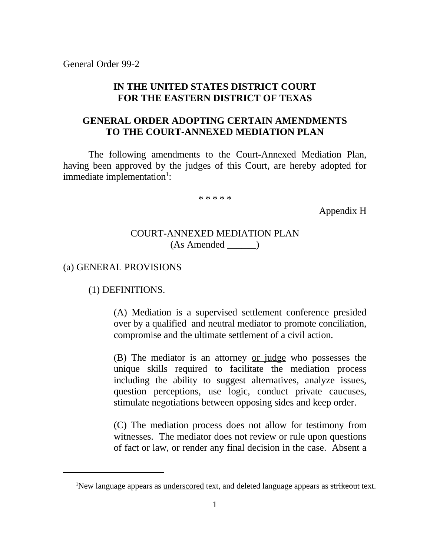#### **IN THE UNITED STATES DISTRICT COURT FOR THE EASTERN DISTRICT OF TEXAS**

## **GENERAL ORDER ADOPTING CERTAIN AMENDMENTS TO THE COURT-ANNEXED MEDIATION PLAN**

The following amendments to the Court-Annexed Mediation Plan, having been approved by the judges of this Court, are hereby adopted for immediate implementation<sup>1</sup>:

\* \* \* \* \*

Appendix H

#### COURT-ANNEXED MEDIATION PLAN (As Amended \_\_\_\_\_\_)

#### (a) GENERAL PROVISIONS

#### (1) DEFINITIONS.

(A) Mediation is a supervised settlement conference presided over by a qualified and neutral mediator to promote conciliation, compromise and the ultimate settlement of a civil action.

(B) The mediator is an attorney or judge who possesses the unique skills required to facilitate the mediation process including the ability to suggest alternatives, analyze issues, question perceptions, use logic, conduct private caucuses, stimulate negotiations between opposing sides and keep order.

(C) The mediation process does not allow for testimony from witnesses. The mediator does not review or rule upon questions of fact or law, or render any final decision in the case. Absent a

<sup>&</sup>lt;sup>1</sup>New language appears as underscored text, and deleted language appears as strikeout text.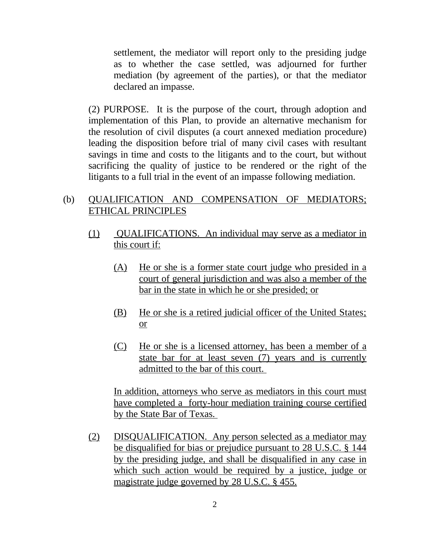settlement, the mediator will report only to the presiding judge as to whether the case settled, was adjourned for further mediation (by agreement of the parties), or that the mediator declared an impasse.

(2) PURPOSE. It is the purpose of the court, through adoption and implementation of this Plan, to provide an alternative mechanism for the resolution of civil disputes (a court annexed mediation procedure) leading the disposition before trial of many civil cases with resultant savings in time and costs to the litigants and to the court, but without sacrificing the quality of justice to be rendered or the right of the litigants to a full trial in the event of an impasse following mediation.

## (b) QUALIFICATION AND COMPENSATION OF MEDIATORS; ETHICAL PRINCIPLES

- (1) QUALIFICATIONS. An individual may serve as a mediator in this court if:
	- (A) He or she is a former state court judge who presided in a court of general jurisdiction and was also a member of the bar in the state in which he or she presided; or
	- (B) He or she is a retired judicial officer of the United States; or
	- (C) He or she is a licensed attorney, has been a member of a state bar for at least seven (7) years and is currently admitted to the bar of this court.

In addition, attorneys who serve as mediators in this court must have completed a forty-hour mediation training course certified by the State Bar of Texas.

(2) DISQUALIFICATION. Any person selected as a mediator may be disqualified for bias or prejudice pursuant to 28 U.S.C. § 144 by the presiding judge, and shall be disqualified in any case in which such action would be required by a justice, judge or magistrate judge governed by 28 U.S.C. § 455.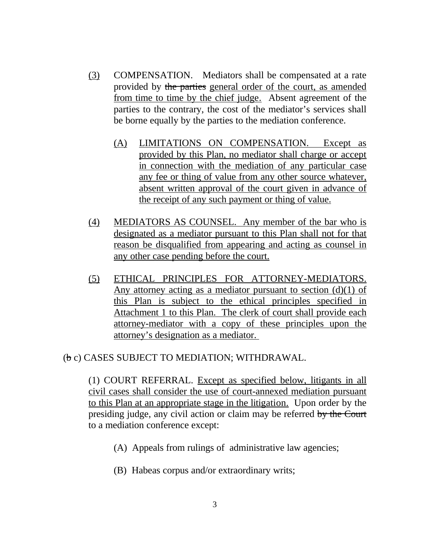- (3) COMPENSATION. Mediators shall be compensated at a rate provided by the parties general order of the court, as amended from time to time by the chief judge. Absent agreement of the parties to the contrary, the cost of the mediator's services shall be borne equally by the parties to the mediation conference.
	- (A) LIMITATIONS ON COMPENSATION. Except as provided by this Plan, no mediator shall charge or accept in connection with the mediation of any particular case any fee or thing of value from any other source whatever, absent written approval of the court given in advance of the receipt of any such payment or thing of value.
- (4) MEDIATORS AS COUNSEL. Any member of the bar who is designated as a mediator pursuant to this Plan shall not for that reason be disqualified from appearing and acting as counsel in any other case pending before the court.
- (5) ETHICAL PRINCIPLES FOR ATTORNEY-MEDIATORS. Any attorney acting as a mediator pursuant to section  $(d)(1)$  of this Plan is subject to the ethical principles specified in Attachment 1 to this Plan. The clerk of court shall provide each attorney-mediator with a copy of these principles upon the attorney's designation as a mediator.

#### (b c) CASES SUBJECT TO MEDIATION; WITHDRAWAL.

(1) COURT REFERRAL. Except as specified below, litigants in all civil cases shall consider the use of court-annexed mediation pursuant to this Plan at an appropriate stage in the litigation. Upon order by the presiding judge, any civil action or claim may be referred by the Court to a mediation conference except:

- (A) Appeals from rulings of administrative law agencies;
- (B) Habeas corpus and/or extraordinary writs;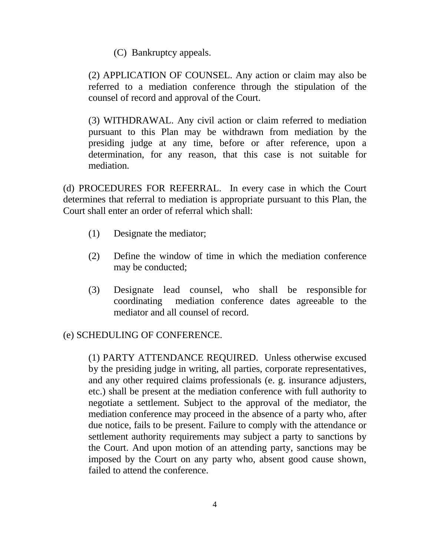(C) Bankruptcy appeals.

(2) APPLICATION OF COUNSEL. Any action or claim may also be referred to a mediation conference through the stipulation of the counsel of record and approval of the Court.

(3) WITHDRAWAL. Any civil action or claim referred to mediation pursuant to this Plan may be withdrawn from mediation by the presiding judge at any time, before or after reference, upon a determination, for any reason, that this case is not suitable for mediation.

(d) PROCEDURES FOR REFERRAL. In every case in which the Court determines that referral to mediation is appropriate pursuant to this Plan, the Court shall enter an order of referral which shall:

- (1) Designate the mediator;
- (2) Define the window of time in which the mediation conference may be conducted;
- (3) Designate lead counsel, who shall be responsible for coordinating mediation conference dates agreeable to the mediator and all counsel of record.

# (e) SCHEDULING OF CONFERENCE.

(1) PARTY ATTENDANCE REQUIRED. Unless otherwise excused by the presiding judge in writing, all parties, corporate representatives, and any other required claims professionals (e. g. insurance adjusters, etc.) shall be present at the mediation conference with full authority to negotiate a settlement. Subject to the approval of the mediator, the mediation conference may proceed in the absence of a party who, after due notice, fails to be present. Failure to comply with the attendance or settlement authority requirements may subject a party to sanctions by the Court. And upon motion of an attending party, sanctions may be imposed by the Court on any party who, absent good cause shown, failed to attend the conference.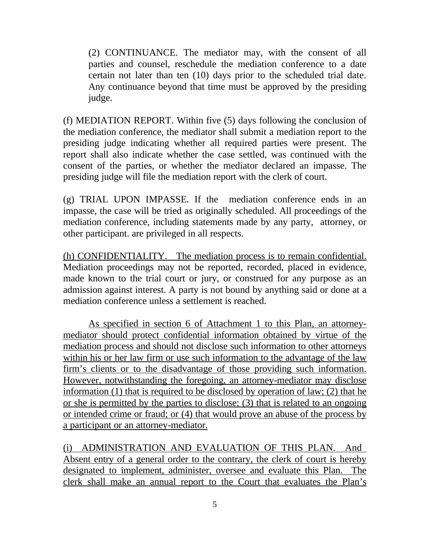(2) CONTINUANCE. The mediator may, with the consent of all parties and counsel, reschedule the mediation conference to a date certain not later than ten (10) days prior to the scheduled trial date. Any continuance beyond that time must be approved by the presiding judge.

(f) MEDIATION REPORT. Within five (5) days following the conclusion of the mediation conference, the mediator shall submit a mediation report to the presiding judge indicating whether all required parties were present. The report shall also indicate whether the case settled, was continued with the consent of the parties, or whether the mediator declared an impasse. The presiding judge will file the mediation report with the clerk of court.

(g) TRIAL UPON IMPASSE. If the mediation conference ends in an impasse, the case will be tried as originally scheduled. All proceedings of the mediation conference, including statements made by any party, attorney, or other participant. are privileged in all respects.

(h) CONFIDENTIALITY. The mediation process is to remain confidential. Mediation proceedings may not be reported, recorded, placed in evidence, made known to the trial court or jury, or construed for any purpose as an admission against interest. A party is not bound by anything said or done at a mediation conference unless a settlement is reached.

As specified in section 6 of Attachment 1 to this Plan, an attorneymediator should protect confidential information obtained by virtue of the mediation process and should not disclose such information to other attorneys within his or her law firm or use such information to the advantage of the law firm's clients or to the disadvantage of those providing such information. However, notwithstanding the foregoing, an attorney-mediator may disclose information (1) that is required to be disclosed by operation of law; (2) that he or she is permitted by the parties to disclose; (3) that is related to an ongoing or intended crime or fraud; or (4) that would prove an abuse of the process by a participant or an attorney-mediator.

(i) ADMINISTRATION AND EVALUATION OF THIS PLAN. And Absent entry of a general order to the contrary, the clerk of court is hereby designated to implement, administer, oversee and evaluate this Plan. The clerk shall make an annual report to the Court that evaluates the Plan's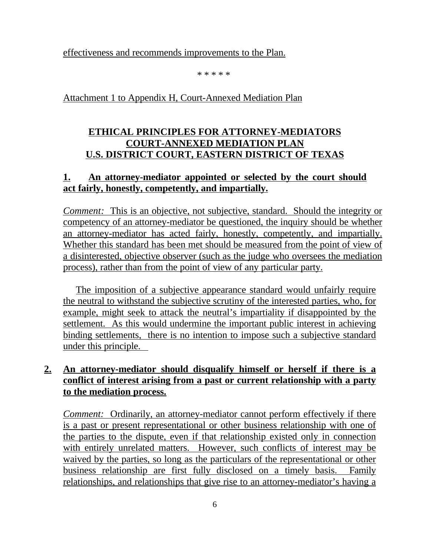effectiveness and recommends improvements to the Plan.

\* \* \* \* \*

## Attachment 1 to Appendix H, Court-Annexed Mediation Plan

# **ETHICAL PRINCIPLES FOR ATTORNEY-MEDIATORS COURT-ANNEXED MEDIATION PLAN U.S. DISTRICT COURT, EASTERN DISTRICT OF TEXAS**

# **1. An attorney-mediator appointed or selected by the court should act fairly, honestly, competently, and impartially.**

*Comment:* This is an objective, not subjective, standard. Should the integrity or competency of an attorney-mediator be questioned, the inquiry should be whether an attorney-mediator has acted fairly, honestly, competently, and impartially. Whether this standard has been met should be measured from the point of view of a disinterested, objective observer (such as the judge who oversees the mediation process), rather than from the point of view of any particular party.

The imposition of a subjective appearance standard would unfairly require the neutral to withstand the subjective scrutiny of the interested parties, who, for example, might seek to attack the neutral's impartiality if disappointed by the settlement. As this would undermine the important public interest in achieving binding settlements, there is no intention to impose such a subjective standard under this principle.

# **2. An attorney-mediator should disqualify himself or herself if there is a conflict of interest arising from a past or current relationship with a party to the mediation process.**

*Comment:* Ordinarily, an attorney-mediator cannot perform effectively if there is a past or present representational or other business relationship with one of the parties to the dispute, even if that relationship existed only in connection with entirely unrelated matters. However, such conflicts of interest may be waived by the parties, so long as the particulars of the representational or other business relationship are first fully disclosed on a timely basis. Family relationships, and relationships that give rise to an attorney-mediator's having a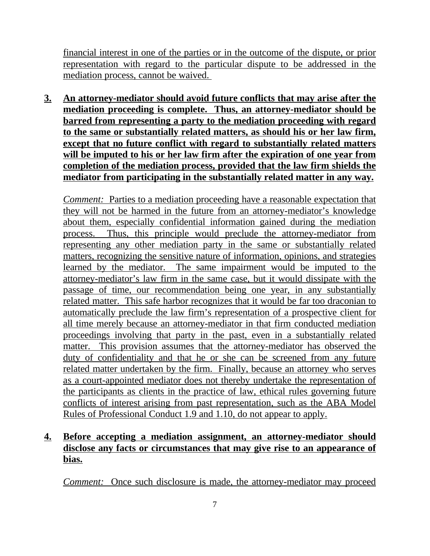financial interest in one of the parties or in the outcome of the dispute, or prior representation with regard to the particular dispute to be addressed in the mediation process, cannot be waived.

**3. An attorney-mediator should avoid future conflicts that may arise after the mediation proceeding is complete. Thus, an attorney-mediator should be barred from representing a party to the mediation proceeding with regard to the same or substantially related matters, as should his or her law firm, except that no future conflict with regard to substantially related matters will be imputed to his or her law firm after the expiration of one year from completion of the mediation process, provided that the law firm shields the mediator from participating in the substantially related matter in any way.**

*Comment:* Parties to a mediation proceeding have a reasonable expectation that they will not be harmed in the future from an attorney-mediator's knowledge about them, especially confidential information gained during the mediation process. Thus, this principle would preclude the attorney-mediator from representing any other mediation party in the same or substantially related matters, recognizing the sensitive nature of information, opinions, and strategies learned by the mediator. The same impairment would be imputed to the attorney-mediator's law firm in the same case, but it would dissipate with the passage of time, our recommendation being one year, in any substantially related matter. This safe harbor recognizes that it would be far too draconian to automatically preclude the law firm's representation of a prospective client for all time merely because an attorney-mediator in that firm conducted mediation proceedings involving that party in the past, even in a substantially related matter. This provision assumes that the attorney-mediator has observed the duty of confidentiality and that he or she can be screened from any future related matter undertaken by the firm. Finally, because an attorney who serves as a court-appointed mediator does not thereby undertake the representation of the participants as clients in the practice of law, ethical rules governing future conflicts of interest arising from past representation, such as the ABA Model Rules of Professional Conduct 1.9 and 1.10, do not appear to apply.

## **4. Before accepting a mediation assignment, an attorney-mediator should disclose any facts or circumstances that may give rise to an appearance of bias.**

*Comment:* Once such disclosure is made, the attorney-mediator may proceed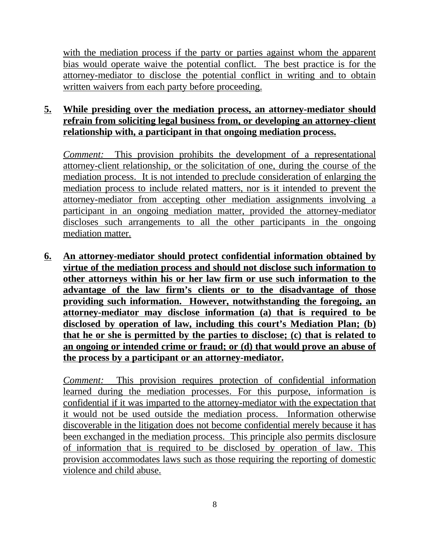with the mediation process if the party or parties against whom the apparent bias would operate waive the potential conflict. The best practice is for the attorney-mediator to disclose the potential conflict in writing and to obtain written waivers from each party before proceeding.

## **5. While presiding over the mediation process, an attorney-mediator should refrain from soliciting legal business from, or developing an attorney-client relationship with, a participant in that ongoing mediation process.**

*Comment:* This provision prohibits the development of a representational attorney-client relationship, or the solicitation of one, during the course of the mediation process. It is not intended to preclude consideration of enlarging the mediation process to include related matters, nor is it intended to prevent the attorney-mediator from accepting other mediation assignments involving a participant in an ongoing mediation matter, provided the attorney-mediator discloses such arrangements to all the other participants in the ongoing mediation matter.

**6. An attorney-mediator should protect confidential information obtained by virtue of the mediation process and should not disclose such information to other attorneys within his or her law firm or use such information to the advantage of the law firm's clients or to the disadvantage of those providing such information. However, notwithstanding the foregoing, an attorney-mediator may disclose information (a) that is required to be disclosed by operation of law, including this court's Mediation Plan; (b) that he or she is permitted by the parties to disclose; (c) that is related to an ongoing or intended crime or fraud; or (d) that would prove an abuse of the process by a participant or an attorney-mediator.**

*Comment:* This provision requires protection of confidential information learned during the mediation processes. For this purpose, information is confidential if it was imparted to the attorney-mediator with the expectation that it would not be used outside the mediation process. Information otherwise discoverable in the litigation does not become confidential merely because it has been exchanged in the mediation process. This principle also permits disclosure of information that is required to be disclosed by operation of law. This provision accommodates laws such as those requiring the reporting of domestic violence and child abuse.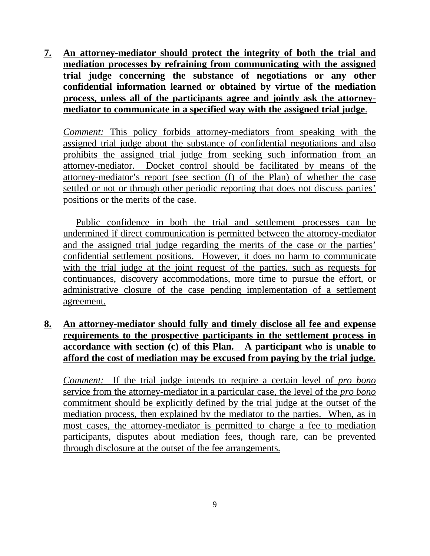**7. An attorney-mediator should protect the integrity of both the trial and mediation processes by refraining from communicating with the assigned trial judge concerning the substance of negotiations or any other confidential information learned or obtained by virtue of the mediation process, unless all of the participants agree and jointly ask the attorneymediator to communicate in a specified way with the assigned trial judge**.

*Comment:* This policy forbids attorney-mediators from speaking with the assigned trial judge about the substance of confidential negotiations and also prohibits the assigned trial judge from seeking such information from an attorney-mediator. Docket control should be facilitated by means of the attorney-mediator's report (see section (f) of the Plan) of whether the case settled or not or through other periodic reporting that does not discuss parties' positions or the merits of the case.

Public confidence in both the trial and settlement processes can be undermined if direct communication is permitted between the attorney-mediator and the assigned trial judge regarding the merits of the case or the parties' confidential settlement positions. However, it does no harm to communicate with the trial judge at the joint request of the parties, such as requests for continuances, discovery accommodations, more time to pursue the effort, or administrative closure of the case pending implementation of a settlement agreement.

## **8. An attorney-mediator should fully and timely disclose all fee and expense requirements to the prospective participants in the settlement process in accordance with section (c) of this Plan. A participant who is unable to afford the cost of mediation may be excused from paying by the trial judge.**

*Comment:* If the trial judge intends to require a certain level of *pro bono* service from the attorney-mediator in a particular case, the level of the *pro bono* commitment should be explicitly defined by the trial judge at the outset of the mediation process, then explained by the mediator to the parties. When, as in most cases, the attorney-mediator is permitted to charge a fee to mediation participants, disputes about mediation fees, though rare, can be prevented through disclosure at the outset of the fee arrangements.